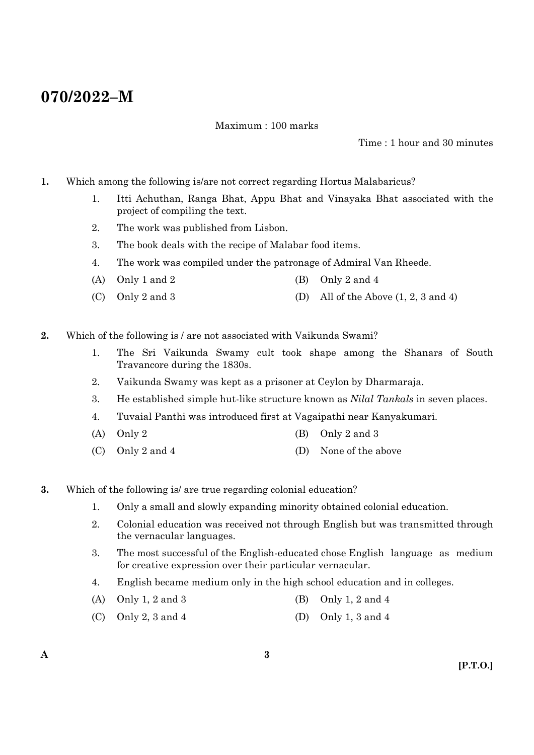# **070/2022–M**

Maximum : 100 marks

Time : 1 hour and 30 minutes

- **1.** Which among the following is/are not correct regarding Hortus Malabaricus?
	- 1. Itti Achuthan, Ranga Bhat, Appu Bhat and Vinayaka Bhat associated with the project of compiling the text.
	- 2. The work was published from Lisbon.
	- 3. The book deals with the recipe of Malabar food items.
	- 4. The work was compiled under the patronage of Admiral Van Rheede.
	- (A) Only 1 and 2 (B) Only 2 and 4
	- (C) Only 2 and 3 (D) All of the Above  $(1, 2, 3 \text{ and } 4)$
- **2.** Which of the following is / are not associated with Vaikunda Swami?
	- 1. The Sri Vaikunda Swamy cult took shape among the Shanars of South Travancore during the 1830s.
	- 2. Vaikunda Swamy was kept as a prisoner at Ceylon by Dharmaraja.
	- 3. He established simple hut-like structure known as *Nilal Tankals* in seven places.
	- 4. Tuvaial Panthi was introduced first at Vagaipathi near Kanyakumari.
	- (A) Only 2 (B) Only 2 and 3
	- (C) Only 2 and 4 (D) None of the above
- **3.** Which of the following is/ are true regarding colonial education?
	- 1. Only a small and slowly expanding minority obtained colonial education.
	- 2. Colonial education was received not through English but was transmitted through the vernacular languages.
	- 3. The most successful of the English-educated chose English language as medium for creative expression over their particular vernacular.
	- 4. English became medium only in the high school education and in colleges.
	- (A) Only 1, 2 and 3 (B) Only 1, 2 and 4
	- (C) Only 2, 3 and 4 (D) Only 1, 3 and 4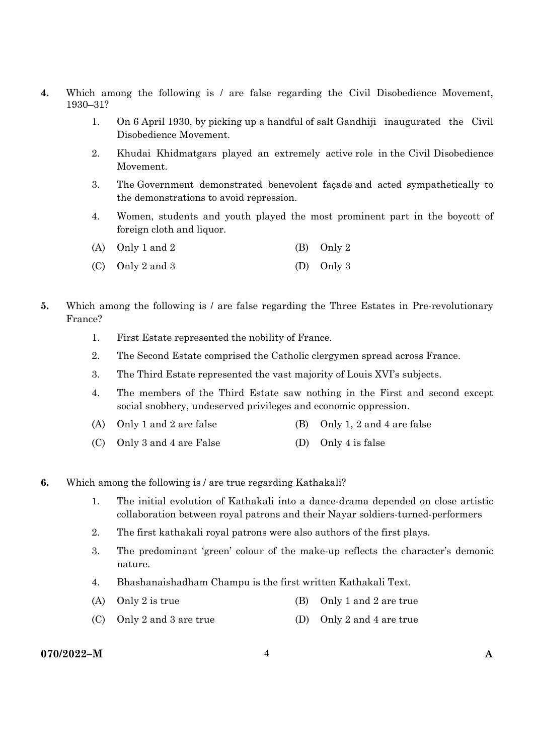- **4.** Which among the following is / are false regarding the Civil Disobedience Movement, 1930–31?
	- 1. On 6 April 1930, by picking up a handful of salt Gandhiji inaugurated the Civil Disobedience Movement.
	- 2. Khudai Khidmatgars played an extremely active role in the Civil Disobedience Movement.
	- 3. The Government demonstrated benevolent façade and acted sympathetically to the demonstrations to avoid repression.
	- 4. Women, students and youth played the most prominent part in the boycott of foreign cloth and liquor.

| (A) Only 1 and 2 | (B) Only 2 |
|------------------|------------|
|                  |            |

- (C) Only 2 and 3 (D) Only 3
- **5.** Which among the following is / are false regarding the Three Estates in Pre-revolutionary France?
	- 1. First Estate represented the nobility of France.
	- 2. The Second Estate comprised the Catholic clergymen spread across France.
	- 3. The Third Estate represented the vast majority of Louis XVI's subjects.
	- 4. The members of the Third Estate saw nothing in the First and second except social snobbery, undeserved privileges and economic oppression.
	- (A) Only 1 and 2 are false (B) Only 1, 2 and 4 are false
	- (C) Only 3 and 4 are False (D) Only 4 is false
- **6.** Which among the following is / are true regarding Kathakali?
	- 1. The initial evolution of Kathakali into a dance-drama depended on close artistic collaboration between royal patrons and their Nayar soldiers-turned-performers
	- 2. The first kathakali royal patrons were also authors of the first plays.
	- 3. The predominant 'green' colour of the make-up reflects the character's demonic nature.
	- 4. Bhashanaishadham Champu is the first written Kathakali Text.
	- (A) Only 2 is true (B) Only 1 and 2 are true
	- (C) Only 2 and 3 are true (D) Only 2 and 4 are true

# **070/2022–M 4 A**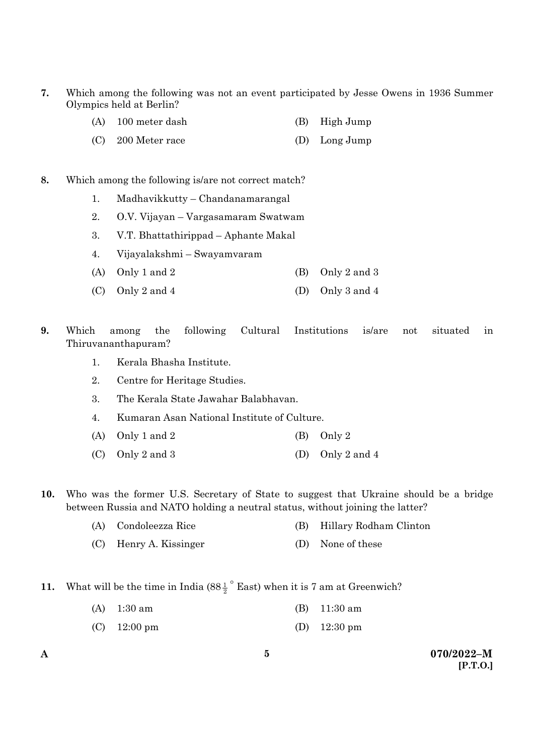- **7.** Which among the following was not an event participated by Jesse Owens in 1936 Summer Olympics held at Berlin?
	- (A) 100 meter dash (B) High Jump
	- (C) 200 Meter race (D) Long Jump

#### **8.** Which among the following is/are not correct match?

- 1. Madhavikkutty Chandanamarangal
- 2. O.V. Vijayan Vargasamaram Swatwam
- 3. V.T. Bhattathirippad Aphante Makal
- 4. Vijayalakshmi Swayamvaram
- (A) Only 1 and 2 (B) Only 2 and 3
- (C) Only 2 and 4 (D) Only 3 and 4
- **9.** Which among the following Cultural Institutions is/are not situated in Thiruvananthapuram?
	- 1. Kerala Bhasha Institute.
	- 2. Centre for Heritage Studies.
	- 3. The Kerala State Jawahar Balabhavan.
	- 4. Kumaran Asan National Institute of Culture.
	- (A) Only 1 and 2 (B) Only 2
	- (C) Only 2 and 3 (D) Only 2 and 4
- **10.** Who was the former U.S. Secretary of State to suggest that Ukraine should be a bridge between Russia and NATO holding a neutral status, without joining the latter?
	- (A) Condoleezza Rice (B) Hillary Rodham Clinton
	- (C) Henry A. Kissinger (D) None of these
- **11.** What will be the time in India  $(88\frac{1}{2})^{\circ}$  East) when it is 7 am at Greenwich?
	- (A) 1:30 am (B) 11:30 am
	- (C) 12:00 pm (D) 12:30 pm
-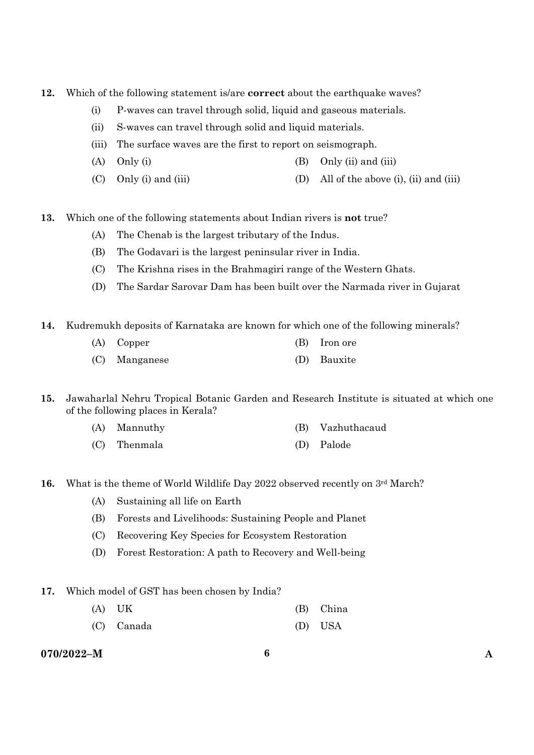- **12.** Which of the following statement is/are **correct** about the earthquake waves?
	- (i) P-waves can travel through solid, liquid and gaseous materials.
	- (ii) S-waves can travel through solid and liquid materials.
	- (iii) The surface waves are the first to report on seismograph.
	- (A) Only (i)  $(3)$  Only (ii) and (iii)
	- (C) Only (i) and (iii) (D) All of the above (i), (ii) and (iii)
- **13.** Which one of the following statements about Indian rivers is **not** true?
	- (A) The Chenab is the largest tributary of the Indus.
	- (B) The Godavari is the largest peninsular river in India.
	- (C) The Krishna rises in the Brahmagiri range of the Western Ghats.
	- (D) The Sardar Sarovar Dam has been built over the Narmada river in Gujarat
- **14.** Kudremukh deposits of Karnataka are known for which one of the following minerals?
	- (A) Copper (B) Iron ore (C) Manganese (D) Bauxite
- **15.** Jawaharlal Nehru Tropical Botanic Garden and Research Institute is situated at which one of the following places in Kerala?
	- (A) Mannuthy (B) Vazhuthacaud
	- (C) Thenmala (D) Palode
- **16.** What is the theme of World Wildlife Day 2022 observed recently on 3<sup>rd</sup> March?
	- (A) Sustaining all life on Earth
	- (B) Forests and Livelihoods: Sustaining People and Planet
	- (C) Recovering Key Species for Ecosystem Restoration
	- (D) Forest Restoration: A path to Recovery and Well-being
- **17.** Which model of GST has been chosen by India?
	- (A) UK (B) China
	- (C) Canada (D) USA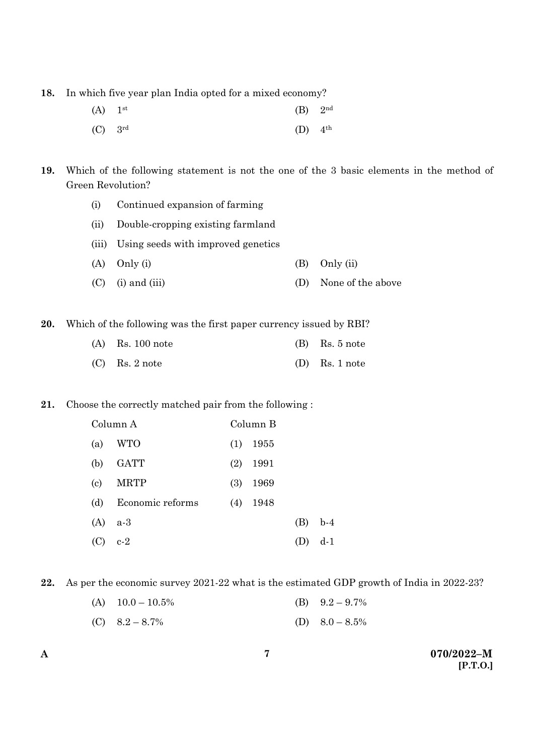**18.** In which five year plan India opted for a mixed economy?

| $(A)$ 1 <sup>st</sup> | $(B)$ 2 <sup>nd</sup> |  |
|-----------------------|-----------------------|--|
| $(C)$ 3rd             | $(D)$ 4 <sup>th</sup> |  |

**19.** Which of the following statement is not the one of the 3 basic elements in the method of Green Revolution?

- (i) Continued expansion of farming
- (ii) Double-cropping existing farmland
- (iii) Using seeds with improved genetics
- (A) Only (i) (B) Only (ii)
- (C) (i) and (iii) (D) None of the above

**20.** Which of the following was the first paper currency issued by RBI?

| $(A)$ Rs. 100 note | $(B)$ Rs. 5 note |
|--------------------|------------------|
| $(C)$ Rs. 2 note   | $(D)$ Rs. 1 note |

# **21.** Choose the correctly matched pair from the following :

| Column A                   |                  |     | Column B |     |       |  |
|----------------------------|------------------|-----|----------|-----|-------|--|
| (a)                        | WTO              | (1) | 1955     |     |       |  |
| (b)                        | <b>GATT</b>      | (2) | 1991     |     |       |  |
| $\left( \mathrm{c}\right)$ | <b>MRTP</b>      | (3) | 1969     |     |       |  |
| (d)                        | Economic reforms | (4) | 1948     |     |       |  |
| (A)                        | a-3              |     |          | (B) | $b-4$ |  |
| (C)                        | $c-2$            |     |          | (D) | d-1   |  |

**22.** As per the economic survey 2021-22 what is the estimated GDP growth of India in 2022-23?

| (A) $10.0 - 10.5\%$ | (B) $9.2 - 9.7\%$ |
|---------------------|-------------------|
|                     |                   |

(C)  $8.2 - 8.7\%$  (D)  $8.0 - 8.5\%$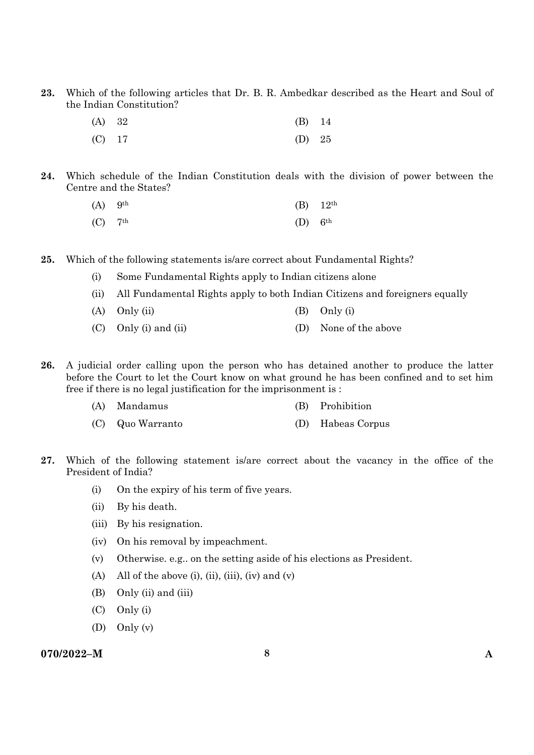**23.** Which of the following articles that Dr. B. R. Ambedkar described as the Heart and Soul of the Indian Constitution?

| (A) 32   | $(B)$ 14 |  |
|----------|----------|--|
| $(C)$ 17 | (D) $25$ |  |

**24.** Which schedule of the Indian Constitution deals with the division of power between the Centre and the States?

| $(A)$ 9 <sup>th</sup> |                       | (B) $12^{th}$ |
|-----------------------|-----------------------|---------------|
| $(C)$ 7 <sup>th</sup> | $(D)$ 6 <sup>th</sup> |               |

- **25.** Which of the following statements is/are correct about Fundamental Rights?
	- (i) Some Fundamental Rights apply to Indian citizens alone
	- (ii) All Fundamental Rights apply to both Indian Citizens and foreigners equally
	- (A)  $Only (ii)$  (B)  $Only (i)$
	- (C) Only (i) and (ii) (D) None of the above
- **26.** A judicial order calling upon the person who has detained another to produce the latter before the Court to let the Court know on what ground he has been confined and to set him free if there is no legal justification for the imprisonment is :
	- (A) Mandamus (B) Prohibition
	- (C) Quo Warranto (D) Habeas Corpus
- **27.** Which of the following statement is/are correct about the vacancy in the office of the President of India?
	- (i) On the expiry of his term of five years.
	- (ii) By his death.
	- (iii) By his resignation.
	- (iv) On his removal by impeachment.
	- (v) Otherwise. e.g.. on the setting aside of his elections as President.
	- (A) All of the above (i), (ii), (iii), (iv) and (v)
	- (B) Only (ii) and (iii)
	- (C) Only (i)
	- (D) Only (v)

# **070/2022–M 8 A**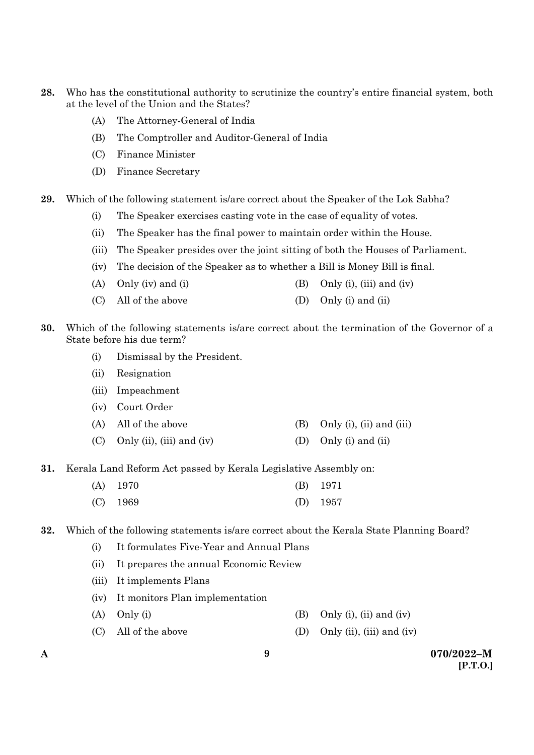- **28.** Who has the constitutional authority to scrutinize the country's entire financial system, both at the level of the Union and the States?
	- (A) The Attorney-General of India
	- (B) The Comptroller and Auditor-General of India
	- (C) Finance Minister
	- (D) Finance Secretary
- **29.** Which of the following statement is/are correct about the Speaker of the Lok Sabha?
	- (i) The Speaker exercises casting vote in the case of equality of votes.
	- (ii) The Speaker has the final power to maintain order within the House.
	- (iii) The Speaker presides over the joint sitting of both the Houses of Parliament.
	- (iv) The decision of the Speaker as to whether a Bill is Money Bill is final.
	- (A) Only (iv) and (i)  $(B)$  Only (i), (iii) and (iv)
	- (C) All of the above (D) Only (i) and (ii)
- **30.** Which of the following statements is/are correct about the termination of the Governor of a State before his due term?
	- (i) Dismissal by the President.
	- (ii) Resignation
	- (iii) Impeachment
	- (iv) Court Order
	- (A) All of the above  $(B)$  Only (i), (ii) and (iii)
	- (C) Only (ii), (iii) and (iv) (D) Only (i) and (ii)
- **31.** Kerala Land Reform Act passed by Kerala Legislative Assembly on:

| $(A)$ 1970 | $(B)$ 1971 |
|------------|------------|
| $(C)$ 1969 | (D) $1957$ |

**32.** Which of the following statements is/are correct about the Kerala State Planning Board?

- (i) It formulates Five-Year and Annual Plans
- (ii) It prepares the annual Economic Review
- (iii) It implements Plans
- (iv) It monitors Plan implementation
- (A) Only (i)  $\qquad \qquad$  (B) Only (i), (ii) and (iv)
- (C) All of the above (D) Only (ii), (iii) and (iv)
-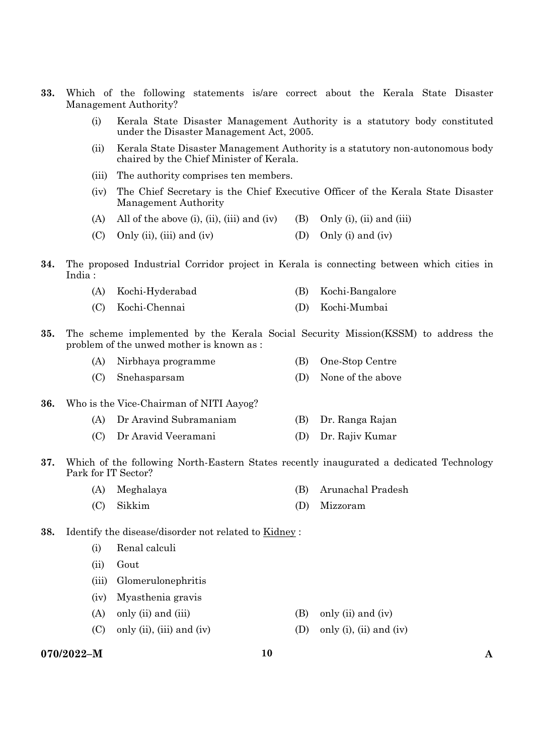- **33.** Which of the following statements is/are correct about the Kerala State Disaster Management Authority?
	- (i) Kerala State Disaster Management Authority is a statutory body constituted under the Disaster Management Act, 2005.
	- (ii) Kerala State Disaster Management Authority is a statutory non-autonomous body chaired by the Chief Minister of Kerala.
	- (iii) The authority comprises ten members.
	- (iv) The Chief Secretary is the Chief Executive Officer of the Kerala State Disaster Management Authority
	- (A) All of the above (i), (ii), (iii) and (iv) (B) Only (i), (ii) and (iii)
	- (C) Only (ii), (iii) and (iv)  $(1)$  Only (i) and (iv)
- **34.** The proposed Industrial Corridor project in Kerala is connecting between which cities in India :

|  | (A) Kochi-Hyderabad |  | (B) Kochi-Bangalore |
|--|---------------------|--|---------------------|
|--|---------------------|--|---------------------|

- (C) Kochi-Chennai (D) Kochi-Mumbai
- **35.** The scheme implemented by the Kerala Social Security Mission(KSSM) to address the problem of the unwed mother is known as :

| (A) Nirbhaya programme | (B) One-Stop Centre   |
|------------------------|-----------------------|
| (C) Snehasparsam       | (D) None of the above |

- **36.** Who is the Vice-Chairman of NITI Aayog?
	- (A) Dr Aravind Subramaniam (B) Dr. Ranga Rajan
	- (C) Dr Aravid Veeramani (D) Dr. Rajiv Kumar
- **37.** Which of the following North-Eastern States recently inaugurated a dedicated Technology Park for IT Sector?
	- (A) Meghalaya (B) Arunachal Pradesh
	- (C) Sikkim (D) Mizzoram
- **38.** Identify the disease/disorder not related to Kidney :
	- (i) Renal calculi
	- (ii) Gout
	- (iii) Glomerulonephritis
	- (iv) Myasthenia gravis
	- (A) only (ii) and (iii)  $(B)$  only (ii) and (iv)
	- (C) only (ii), (iii) and (iv) (D) only (i), (ii) and (iv)
- **070/2022–M 10 A**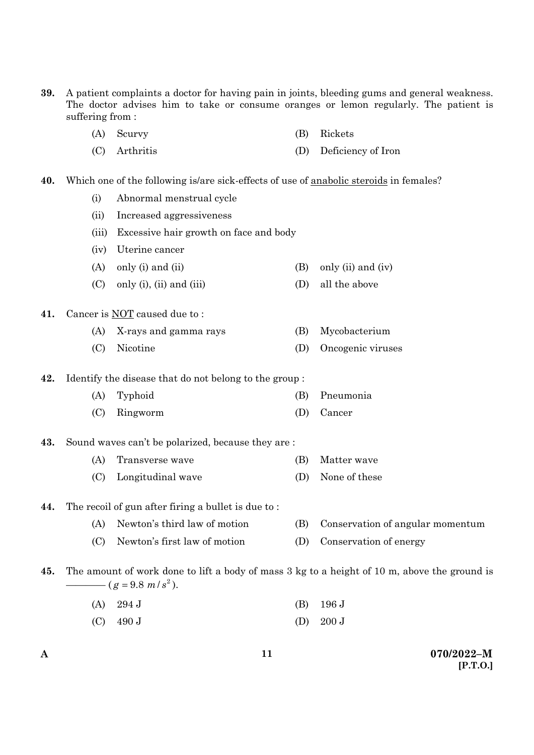- **39.** A patient complaints a doctor for having pain in joints, bleeding gums and general weakness. The doctor advises him to take or consume oranges or lemon regularly. The patient is suffering from :
	- (A) Scurvy (B) Rickets
	- (C) Arthritis (D) Deficiency of Iron
- **40.** Which one of the following is/are sick-effects of use of anabolic steroids in females?
	- (i) Abnormal menstrual cycle
	- (ii) Increased aggressiveness
	- (iii) Excessive hair growth on face and body
	- (iv) Uterine cancer
	- (A) only (i) and (ii)  $(B)$  only (ii) and (iv)
	- (C) only (i), (ii) and (iii)  $(D)$  all the above

#### **41.** Cancer is NOT caused due to :

- (A) X-rays and gamma rays (B) Mycobacterium
- (C) Nicotine (D) Oncogenic viruses

**42.** Identify the disease that do not belong to the group :

- (A) Typhoid (B) Pneumonia
- (C) Ringworm (D) Cancer

### **43.** Sound waves can't be polarized, because they are :

- (A) Transverse wave (B) Matter wave
	- (C) Longitudinal wave (D) None of these

### **44.** The recoil of gun after firing a bullet is due to :

- (A) Newton's third law of motion (B) Conservation of angular momentum
- (C) Newton's first law of motion (D) Conservation of energy
- **45.** The amount of work done to lift a body of mass 3 kg to a height of 10 m, above the ground is  $(g = 9.8 \frac{m}{s^2})$ .
	- (A) 294 J (B) 196 J
	- (C)  $490 \text{ J}$  (D)  $200 \text{ J}$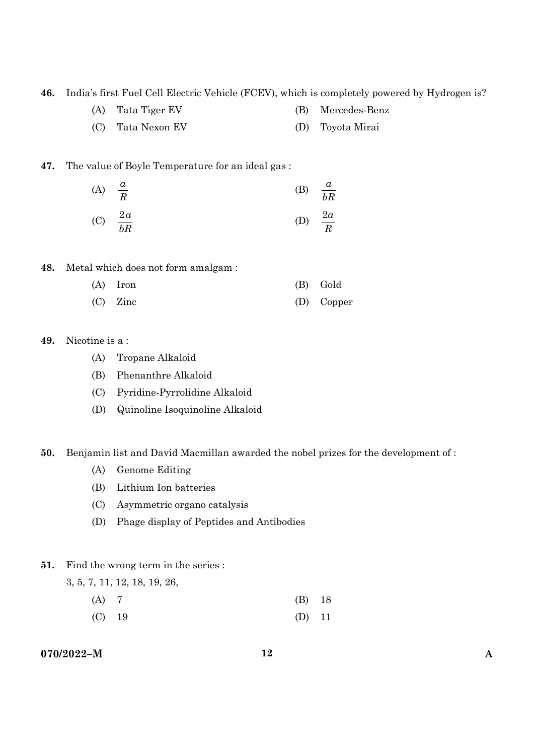**46.** India's first Fuel Cell Electric Vehicle (FCEV), which is completely powered by Hydrogen is?

- (A) Tata Tiger EV (B) Mercedes-Benz
- (C) Tata Nexon EV (D) Toyota Mirai

# **47.** The value of Boyle Temperature for an ideal gas :

(A) 
$$
\frac{a}{R}
$$
 (B)  $\frac{a}{bR}$   
(C)  $\frac{2a}{bR}$  (D)  $\frac{2a}{R}$ 

**48.** Metal which does not form amalgam :

| $(A)$ Iron | (B) Gold   |
|------------|------------|
| $(C)$ Zinc | (D) Copper |

# **49.** Nicotine is a :

- (A) Tropane Alkaloid
- (B) Phenanthre Alkaloid
- (C) Pyridine-Pyrrolidine Alkaloid
- (D) Quinoline Isoquinoline Alkaloid

## **50.** Benjamin list and David Macmillan awarded the nobel prizes for the development of :

- (A) Genome Editing
- (B) Lithium Ion batteries
- (C) Asymmetric organo catalysis
- (D) Phage display of Peptides and Antibodies

### **51.** Find the wrong term in the series :

3, 5, 7, 11, 12, 18, 19, 26,

- (A) 7 (B) 18
- (C) 19 (D) 11

# **070/2022–M 12 A**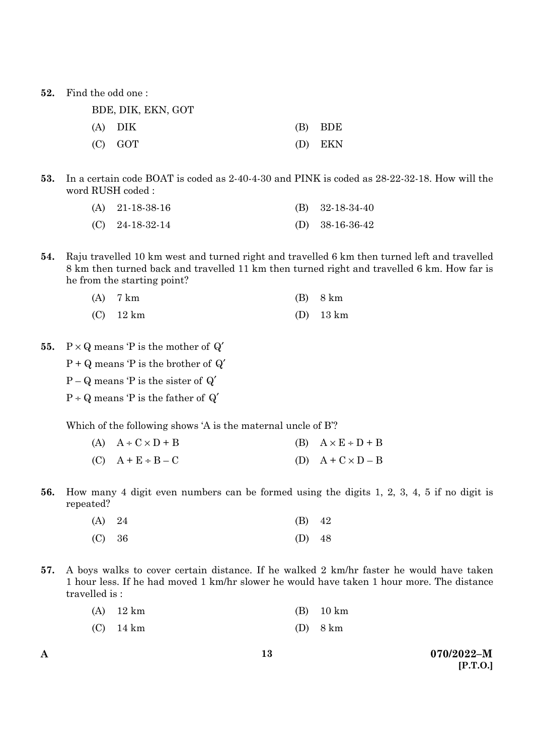**52.** Find the odd one :

| BDE, DIK, EKN, GOT |           |
|--------------------|-----------|
| (A) DIK            | $(B)$ BDE |
| $(C)$ GOT          | (D) EKN   |

**53.** In a certain code BOAT is coded as 2-40-4-30 and PINK is coded as 28-22-32-18. How will the word RUSH coded :

| (A) $21-18-38-16$ | (B) $32-18-34-40$ |
|-------------------|-------------------|
| $(C)$ 24-18-32-14 | (D) $38-16-36-42$ |

**54.** Raju travelled 10 km west and turned right and travelled 6 km then turned left and travelled 8 km then turned back and travelled 11 km then turned right and travelled 6 km. How far is he from the starting point?

| $(A)$ 7 km  | $(B)$ 8 km  |
|-------------|-------------|
| $(C)$ 12 km | $(D)$ 13 km |

- **55.**  $P \times Q$  means  $P$  is the mother of  $Q'$ 
	- $P + Q$  means 'P is the brother of  $Q'$
	- $P Q$  means 'P is the sister of  $Q'$
	- $P \div Q$  means 'P is the father of  $Q'$

Which of the following shows 'A is the maternal uncle of B'?

| (A) $A \div C \times D + B$ | (B) $A \times E \div D + B$ |
|-----------------------------|-----------------------------|
| $(C)$ $A + E \div B - C$    | (D) $A + C \times D - B$    |

**56.** How many 4 digit even numbers can be formed using the digits 1, 2, 3, 4, 5 if no digit is repeated?

| (A) 24 | $(B)$ 42 |  |
|--------|----------|--|
| (C) 36 | (D) $48$ |  |

**57.** A boys walks to cover certain distance. If he walked 2 km/hr faster he would have taken 1 hour less. If he had moved 1 km/hr slower he would have taken 1 hour more. The distance travelled is :

| $(A)$ 12 km | $(B)$ 10 km |
|-------------|-------------|
| $(C)$ 14 km | $(D)$ 8 km  |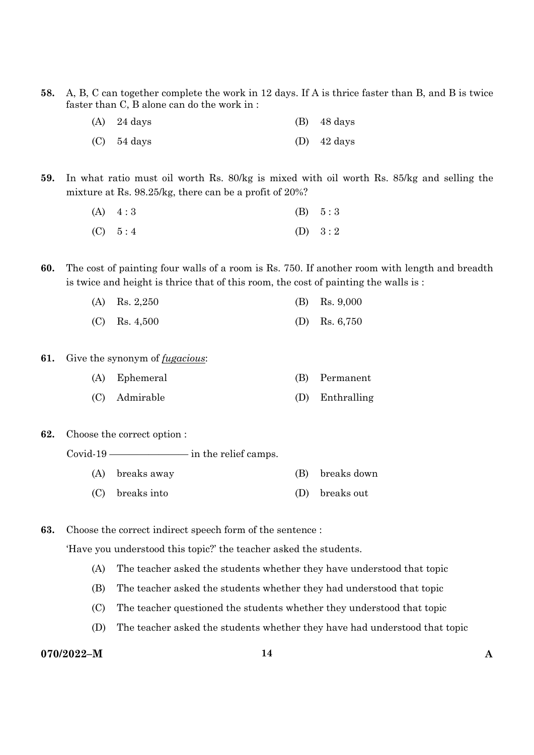**58.** A, B, C can together complete the work in 12 days. If A is thrice faster than B, and B is twice faster than C, B alone can do the work in :

| $(A)$ 24 days | $(B)$ 48 days         |
|---------------|-----------------------|
| $(C)$ 54 days | (D) $42 \text{ days}$ |

**59.** In what ratio must oil worth Rs. 80/kg is mixed with oil worth Rs. 85/kg and selling the mixture at Rs. 98.25/kg, there can be a profit of 20%?

| $(A) \quad 4:3$ | (B) 5:3   |
|-----------------|-----------|
| (C) 5:4         | (D) $3:2$ |

**60.** The cost of painting four walls of a room is Rs. 750. If another room with length and breadth is twice and height is thrice that of this room, the cost of painting the walls is :

| (A) Rs. $2,250$ | (B) Rs. $9,000$ |
|-----------------|-----------------|
| $(C)$ Rs. 4,500 | (D) Rs. $6,750$ |

- **61.** Give the synonym of *fugacious*:
	- (A) Ephemeral (B) Permanent
	- (C) Admirable (D) Enthralling
- **62.** Choose the correct option :

Covid-19 ———————— in the relief camps.

- (A) breaks away (B) breaks down
- (C) breaks into (D) breaks out

**63.** Choose the correct indirect speech form of the sentence :

'Have you understood this topic?' the teacher asked the students.

- (A) The teacher asked the students whether they have understood that topic
- (B) The teacher asked the students whether they had understood that topic
- (C) The teacher questioned the students whether they understood that topic
- (D) The teacher asked the students whether they have had understood that topic

# **070/2022–M 14 A**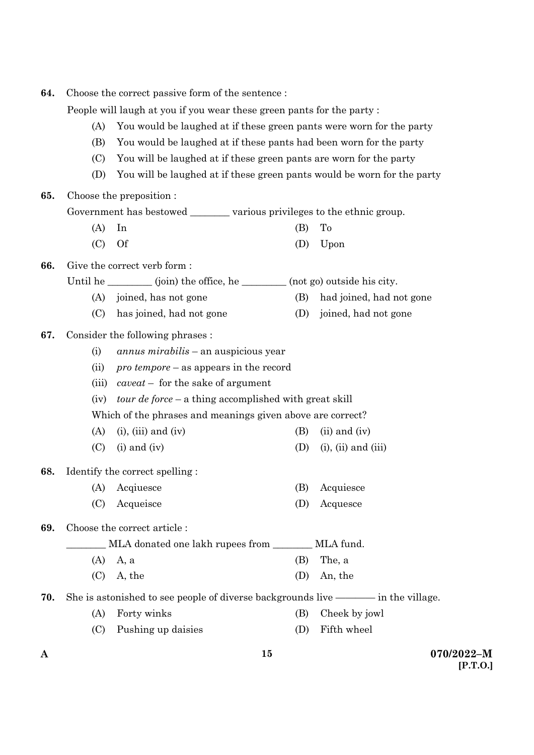| 64.                                                                       | Choose the correct passive form of the sentence:                            |                                                                            |     |                            |
|---------------------------------------------------------------------------|-----------------------------------------------------------------------------|----------------------------------------------------------------------------|-----|----------------------------|
|                                                                           | People will laugh at you if you wear these green pants for the party:       |                                                                            |     |                            |
|                                                                           | You would be laughed at if these green pants were worn for the party<br>(A) |                                                                            |     |                            |
| (B)<br>You would be laughed at if these pants had been worn for the party |                                                                             |                                                                            |     |                            |
|                                                                           | You will be laughed at if these green pants are worn for the party<br>(C)   |                                                                            |     |                            |
|                                                                           | (D)                                                                         | You will be laughed at if these green pants would be worn for the party    |     |                            |
| 65.                                                                       |                                                                             | Choose the preposition :                                                   |     |                            |
|                                                                           |                                                                             | Government has bestowed __________ various privileges to the ethnic group. |     |                            |
|                                                                           | (A)                                                                         | In                                                                         | (B) | To                         |
|                                                                           | (C)                                                                         | <b>Of</b>                                                                  | (D) | Upon                       |
| 66.                                                                       |                                                                             | Give the correct verb form:                                                |     |                            |
|                                                                           |                                                                             | Until he ________ (join) the office, he _______ (not go) outside his city. |     |                            |
|                                                                           | (A)                                                                         | joined, has not gone                                                       | (B) | had joined, had not gone   |
|                                                                           | (C)                                                                         | has joined, had not gone                                                   | (D) | joined, had not gone       |
| 67.                                                                       |                                                                             | Consider the following phrases:                                            |     |                            |
|                                                                           | (i)                                                                         | <i>annus mirabilis</i> – an auspicious year                                |     |                            |
|                                                                           | (ii)                                                                        | $\textit{pro temper}$ – as appears in the record                           |     |                            |
|                                                                           | (iii)                                                                       | $caveat$ – for the sake of argument                                        |     |                            |
|                                                                           | tour de force – a thing accomplished with great skill<br>(iv)               |                                                                            |     |                            |
|                                                                           | Which of the phrases and meanings given above are correct?                  |                                                                            |     |                            |
|                                                                           | (A)                                                                         | $(i)$ , $(iii)$ and $(iv)$                                                 | (B) | $(ii)$ and $(iv)$          |
|                                                                           | (C)                                                                         | $(i)$ and $(iv)$                                                           | (D) | $(i)$ , $(ii)$ and $(iii)$ |
| 68.                                                                       |                                                                             | Identify the correct spelling:                                             |     |                            |
|                                                                           |                                                                             | (A) Acqiuesce                                                              | (B) | Acquiesce                  |
|                                                                           | (C)                                                                         | Acqueisce                                                                  | (D) | Acquesce                   |
| 69.                                                                       |                                                                             | Choose the correct article:                                                |     |                            |
|                                                                           |                                                                             | MLA donated one lakh rupees from                                           |     | MLA fund.                  |
|                                                                           | (A)                                                                         | A, a                                                                       | (B) | The, a                     |
|                                                                           | (C)                                                                         | A, the                                                                     | (D) | An, the                    |
| 70.                                                                       |                                                                             |                                                                            |     |                            |
|                                                                           | (A)                                                                         | Forty winks                                                                | (B) | Cheek by jowl              |
|                                                                           | (C)                                                                         | Pushing up daisies                                                         | (D) | Fifth wheel                |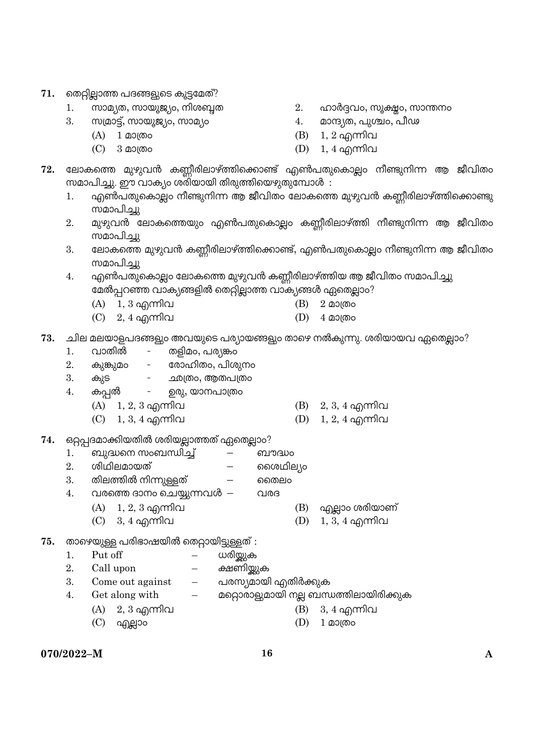- 71. തെറ്റില്ലാത്ത പദങ്ങളുടെ കൂട്ടമേത്?
	-
	- 3. yNoLŸV, yLpP^|U, yLo|U 4. oLÎ|f, kOéU, k}d
		-
	- $1.$  സാമ്യത, സായൂജ്യം, നിശബ്ദത  $2.$  ഹാർദ്ദവം, സൂക്ഷ്യം, സാന്തനം
		-
		- (A) 1 മാത്രം സംസ്ഥാന സംസ്ഥാന (B) 1, 2 എന്നിവ
		- $(C)$  3 മാത്രം സാധാന  $(D)$  1, 4 എന്നിവ
- $72.$  ലോകത്തെ മുഴുവൻ കണ്ണീരിലാഴ്ത്തിക്കൊണ്ട് എൺപതുകൊല്ലം നീണ്ടുനിന്ന ആ ജീവിതം സമാപിച്ചു. ഈ വാക്യം ശരിയായി തിരുത്തിയെഴുതുമ്പോൾ :
	- 1. എൺപതുകൊല്ലം നീണ്ടുനിന്ന ആ ജീവിതം ലോകത്തെ മുഴുവൻ കണ്ണീരിലാഴ്ത്തിക്കൊണ്ടു സമാപിച്ചു
	- 2. മുഴുവൻ ലോകത്തെയും എൺപതുകൊല്ലം കണ്ണീരിലാഴ്ത്തി നീണ്ടുനിന്ന ആ ജീവിതം സമാപിച്ചു
	- $3.$  ഭലാകത്തെ മുഴുവൻ കണ്ണീരിലാഴ്ത്തിക്കൊണ്ട്, എൺപതുകൊല്ലം നീണ്ടുനിന്ന ആ ജീവിതം സമാപിച്ചു
	- 4. എൺപതുകൊല്ലം ലോകത്തെ മുഴുവൻ കണ്ണീരിലാഴ്ത്തിയ ആ ജീവിതം സമാപിച്ചു മേൽപ്പറഞ്ഞ വാക്യങ്ങളിൽ തെറ്റില്ലാത്ത വാക്യങ്ങൾ ഏതെല്ലാം?
		- $(A)$  1, 3 എന്നിവ  $(B)$  2 മാത്രം
		- $(C)$  2, 4 എന്നിവ  $(D)$  4 മാത്രം
- $73.$  ചില മലയാളപദങ്ങളും അവയുടെ പര്യായങ്ങളും താഴെ നൽകുന്നു. ശരിയായവ ഏതെല്ലാം?
	- 1. വാതിൽ തളിമം, പര്യങ്കം
	- 2. കുങ്കുമം രോഹിതം, പിശുനം
	- 3. കുട <u>ഛ</u>ത്രം,ആതപത്രം
	- 4. കപ്പൽ ഉരു, യാനപാത്രം
		- (A)  $1, 2, 3$  എന്നിവ (B)  $2, 3, 4$  എന്നിവ  $(C)$  1, 3, 4 എന്നിവ  $(D)$  1, 2, 4 എന്നിവ
	-
- 74. ഒറ്റപ്പദമാക്കിയതിൽ ശരിയല്ലാത്തത് ഏതെല്ലാം?
	- 1. ബുദ്ധനെ സംബന്ധിച്ച് ബൗദ്ധം
	- 2. w]g]soLpfV RRwg]s|U
	- $3.$  തിലത്തിൽ നിന്നുള്ളത്  $-$  ചൈം
	- $4.$  വരത്തെ ദാനം ചെയ്യുന്നവൾ  $-$  വരദ
		- $(A)$  1, 2, 3 എന്നിവ  $(B)$  എല്ലാം ശരിയാണ്
		- $(C)$  3, 4 എന്നിവ  $(D)$  1, 3, 4 എന്നിവ
- 75. താഴെയുള്ള പരിഭാഷയിൽ തെറ്റായിട്ടുള്ളത് :
	- 1. Put off  $-$  ധരിയ്യുക
	- 2. Call upon  $-$  ക്ഷണിയ്ക്കുക
	- 3. Come out against പരസ്യമായി എതിർക്കുക
	- 4. Get along with  $-$  മറ്റൊരാളുമായി നല്ല ബന്ധത്തിലായിരിക്കുക
		- (A) 2, 3 IÐ]v (B) 3, 4 IÐ]v
		- $(C)$  എല്ലാം സാധി (D) 1 മാത്രം
- -

**070/2022–M 16 A**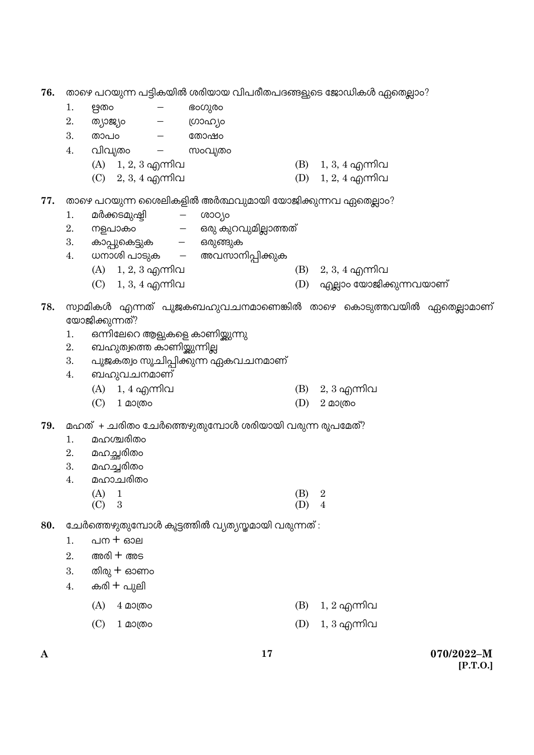- **76.** താഴെ പറയുന്ന പട്ടികയിൽ ശരിയായ വിപരീതപദങ്ങളുടെ ജോഡികൾ ഏതെല്ലാം?
	- $1.$  ഋതം ഭംഗുരം
	- 2. ത്യാജ്യം ഗ്രാഹ്യം
	- $3.$  താപ $\circ$  തോഷം
	- $4.$  വിവൃതം സംവൃതം
		- (A)  $1, 2, 3$  എന്നിവ (B)  $1, 3, 4$  എന്നിവ
		- $(C)$  2, 3, 4 എന്നിവ  $(D)$  1, 2, 4 എന്നിവ
- 77. താഴെ പറയുന്ന ശൈലികളിൽ അർത്ഥവുമായി യോജിക്കുന്നവ ഏതെല്ലാം?
	- 1. മർക്കടമുഷ്ഠി ശാഠ്യം
	- 2. നളപാകം ഒരു കുറവുമില്ലാത്തത്
	- 3. കാപ്പുകെട്ടുക ഒരുങ്ങുക
	- 4. ധനാശി പാടുക അവസാനിപ്പിക്കുക
		- (A)  $1, 2, 3$  എന്നിവ (B)  $2, 3, 4$  എന്നിവ
		- $(C)$  1,  $3$ ,  $4$  എന്നിവ  $(D)$  എല്ലാം യോജിക്കുന്നവയാണ്
- $78.$  സ്വാമികൾ എന്നത് പുജകബഹുവചനമാണെങ്കിൽ താഴെ കൊടുത്തവയിൽ ഏതെല്ലാമാണ് യോജിക്കുന്നത്?
	- 1. ഒന്നിലേറെ ആളുകളെ കാണിയ്ക്കുന്നു
	- 2. ബഹുത്വത്തെ കാണിയ്ക്കുന്നില്ല
	- 3. പുജകത്വം സൂചിപ്പിക്കുന്ന ഏകവചനമാണ്
	- 4. ബഹുവചനമാണ്
		- (A) 1, 4 IÐ]v (B) 2, 3 IÐ]v
		- $(C)$  1 മാത്രം സാധാന സ്വീ 2 മാത്രം
- 79. മഹത് + ചരിതം ചേർത്തെഴുതുമ്പോൾ ശരിയായി വരുന്ന രൂപമേത്?
	- 1. മഹശ്ചരിതം
	- 2. മഹച്ഛരിതം
	- 3. മഹച്ചരിതം
	- 4. മഹാചരിതം
		- (A) 1 (B) 2  $(C)$  3 (D) 4
- 80. **ചേർത്തെഴുതുമ്പോൾ കൂട്ടത്തിൽ വ്യത്യസ്തമായി** വരുന്നത് :
	- $1.$  പന $+$  ഓല
	- $2.$  and  $+$  ans
	- $3.$  തിരു  $+$  ഓണം
	- $4.$  കരി $+$  പുലി
		- (A)  $4 \text{ }\Omega$ ാത്രം സംസ്ഥാന സംസ്ഥാന (B) 1, 2 എന്നിവ
		- (C) 1 മാത്രം (D) 1, 3 എന്നിവ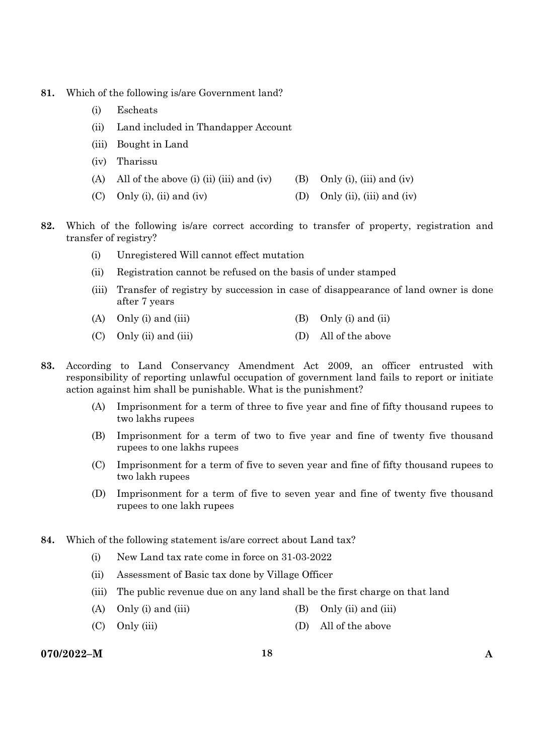- **81.** Which of the following is/are Government land?
	- (i) Escheats
	- (ii) Land included in Thandapper Account
	- (iii) Bought in Land
	- (iv) Tharissu
	- (A) All of the above (i) (ii) (iii) and (iv) (B) Only (i), (iii) and (iv)
	- (C) Only (i), (ii) and (iv)  $(1)$  (D) Only (ii), (iii) and (iv)
- **82.** Which of the following is/are correct according to transfer of property, registration and transfer of registry?
	- (i) Unregistered Will cannot effect mutation
	- (ii) Registration cannot be refused on the basis of under stamped
	- (iii) Transfer of registry by succession in case of disappearance of land owner is done after 7 years
	- (A) Only (i) and (iii)  $(B)$  Only (i) and (ii)
	- (C) Only (ii) and (iii) (D) All of the above
- **83.** According to Land Conservancy Amendment Act 2009, an officer entrusted with responsibility of reporting unlawful occupation of government land fails to report or initiate action against him shall be punishable. What is the punishment?
	- (A) Imprisonment for a term of three to five year and fine of fifty thousand rupees to two lakhs rupees
	- (B) Imprisonment for a term of two to five year and fine of twenty five thousand rupees to one lakhs rupees
	- (C) Imprisonment for a term of five to seven year and fine of fifty thousand rupees to two lakh rupees
	- (D) Imprisonment for a term of five to seven year and fine of twenty five thousand rupees to one lakh rupees
- **84.** Which of the following statement is/are correct about Land tax?
	- (i) New Land tax rate come in force on 31-03-2022
	- (ii) Assessment of Basic tax done by Village Officer
	- (iii) The public revenue due on any land shall be the first charge on that land
	- (A) Only (i) and (iii)  $(B)$  Only (ii) and (iii)
	- (C) Only (iii) (D) All of the above

# **070/2022–M 18 A**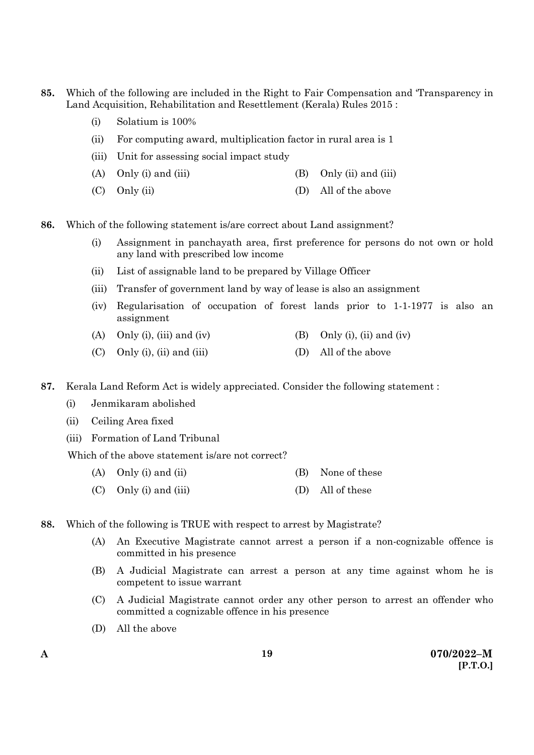- **85.** Which of the following are included in the Right to Fair Compensation and 'Transparency in Land Acquisition, Rehabilitation and Resettlement (Kerala) Rules 2015 :
	- (i) Solatium is 100%
	- (ii) For computing award, multiplication factor in rural area is 1
	- (iii) Unit for assessing social impact study
	- (A) Only (i) and (iii)  $(B)$  Only (ii) and (iii)
	- (C) Only (ii) (D) All of the above
- **86.** Which of the following statement is/are correct about Land assignment?
	- (i) Assignment in panchayath area, first preference for persons do not own or hold any land with prescribed low income
	- (ii) List of assignable land to be prepared by Village Officer
	- (iii) Transfer of government land by way of lease is also an assignment
	- (iv) Regularisation of occupation of forest lands prior to 1-1-1977 is also an assignment
	- (A) Only (i), (iii) and (iv) (B) Only (i), (ii) and (iv)
	- (C) Only (i), (ii) and (iii)  $(D)$  All of the above
- **87.** Kerala Land Reform Act is widely appreciated. Consider the following statement :
	- (i) Jenmikaram abolished
	- (ii) Ceiling Area fixed
	- (iii) Formation of Land Tribunal

Which of the above statement is/are not correct?

- (A) Only (i) and (ii) (B) None of these
- (C) Only (i) and (iii) (D) All of these
- **88.** Which of the following is TRUE with respect to arrest by Magistrate?
	- (A) An Executive Magistrate cannot arrest a person if a non-cognizable offence is committed in his presence
	- (B) A Judicial Magistrate can arrest a person at any time against whom he is competent to issue warrant
	- (C) A Judicial Magistrate cannot order any other person to arrest an offender who committed a cognizable offence in his presence
	- (D) All the above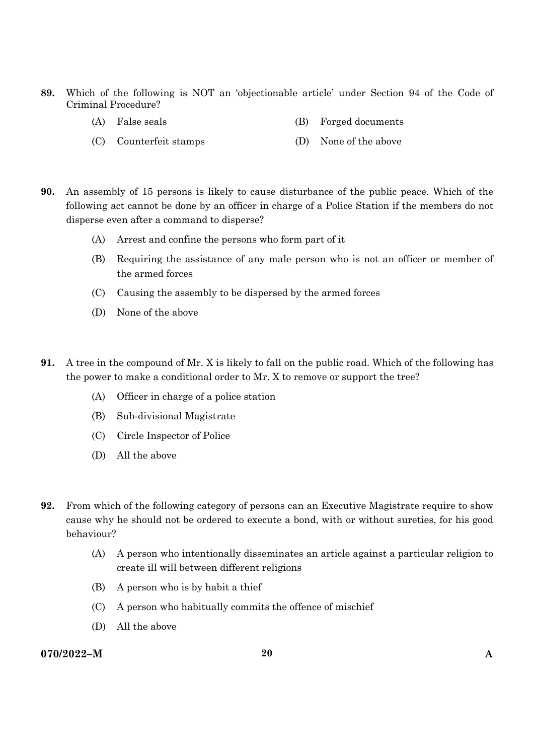- **89.** Which of the following is NOT an 'objectionable article' under Section 94 of the Code of Criminal Procedure?
	- (A) False seals (B) Forged documents
	- (C) Counterfeit stamps (D) None of the above
- **90.** An assembly of 15 persons is likely to cause disturbance of the public peace. Which of the following act cannot be done by an officer in charge of a Police Station if the members do not disperse even after a command to disperse?
	- (A) Arrest and confine the persons who form part of it
	- (B) Requiring the assistance of any male person who is not an officer or member of the armed forces
	- (C) Causing the assembly to be dispersed by the armed forces
	- (D) None of the above
- **91.** A tree in the compound of Mr. X is likely to fall on the public road. Which of the following has the power to make a conditional order to Mr. X to remove or support the tree?
	- (A) Officer in charge of a police station
	- (B) Sub-divisional Magistrate
	- (C) Circle Inspector of Police
	- (D) All the above
- **92.** From which of the following category of persons can an Executive Magistrate require to show cause why he should not be ordered to execute a bond, with or without sureties, for his good behaviour?
	- (A) A person who intentionally disseminates an article against a particular religion to create ill will between different religions
	- (B) A person who is by habit a thief
	- (C) A person who habitually commits the offence of mischief
	- (D) All the above

### **070/2022–M 20 A**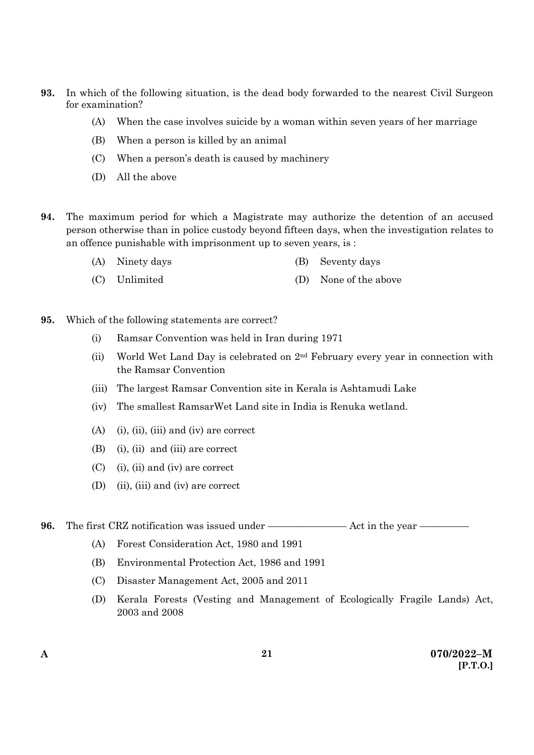- **93.** In which of the following situation, is the dead body forwarded to the nearest Civil Surgeon for examination?
	- (A) When the case involves suicide by a woman within seven years of her marriage
	- (B) When a person is killed by an animal
	- (C) When a person's death is caused by machinery
	- (D) All the above
- **94.** The maximum period for which a Magistrate may authorize the detention of an accused person otherwise than in police custody beyond fifteen days, when the investigation relates to an offence punishable with imprisonment up to seven years, is :
	- (A) Ninety days (B) Seventy days
	- (C) Unlimited (D) None of the above
- **95.** Which of the following statements are correct?
	- (i) Ramsar Convention was held in Iran during 1971
	- (ii) World Wet Land Day is celebrated on  $2<sup>nd</sup>$  February every year in connection with the Ramsar Convention
	- (iii) The largest Ramsar Convention site in Kerala is Ashtamudi Lake
	- (iv) The smallest RamsarWet Land site in India is Renuka wetland.
	- (A) (i), (ii), (iii) and (iv) are correct
	- (B) (i), (ii) and (iii) are correct
	- (C) (i), (ii) and (iv) are correct
	- (D) (ii), (iii) and (iv) are correct

**96.** The first CRZ notification was issued under ———————— Act in the year —————

- (A) Forest Consideration Act, 1980 and 1991
- (B) Environmental Protection Act, 1986 and 1991
- (C) Disaster Management Act, 2005 and 2011
- (D) Kerala Forests (Vesting and Management of Ecologically Fragile Lands) Act, 2003 and 2008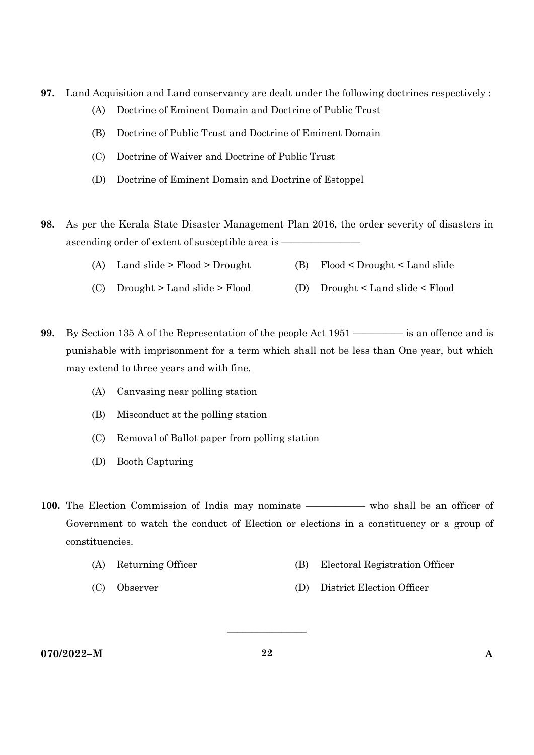- **97.** Land Acquisition and Land conservancy are dealt under the following doctrines respectively :
	- (A) Doctrine of Eminent Domain and Doctrine of Public Trust
	- (B) Doctrine of Public Trust and Doctrine of Eminent Domain
	- (C) Doctrine of Waiver and Doctrine of Public Trust
	- (D) Doctrine of Eminent Domain and Doctrine of Estoppel
- **98.** As per the Kerala State Disaster Management Plan 2016, the order severity of disasters in ascending order of extent of susceptible area is -
	- (A) Land slide > Flood > Drought (B) Flood < Drought < Land slide
	- (C) Drought > Land slide > Flood (D) Drought < Land slide < Flood
- **99.** By Section 135 A of the Representation of the people Act 1951 ————— is an offence and is punishable with imprisonment for a term which shall not be less than One year, but which may extend to three years and with fine.
	- (A) Canvasing near polling station
	- (B) Misconduct at the polling station
	- (C) Removal of Ballot paper from polling station
	- (D) Booth Capturing
- 100. The Election Commission of India may nominate —————— who shall be an officer of Government to watch the conduct of Election or elections in a constituency or a group of constituencies.
	- (A) Returning Officer (B) Electoral Registration Officer
		-
	- (C) Observer (D) District Election Officer

**070/2022–M 22 A** 

 $\overline{\phantom{a}}$  , where  $\overline{\phantom{a}}$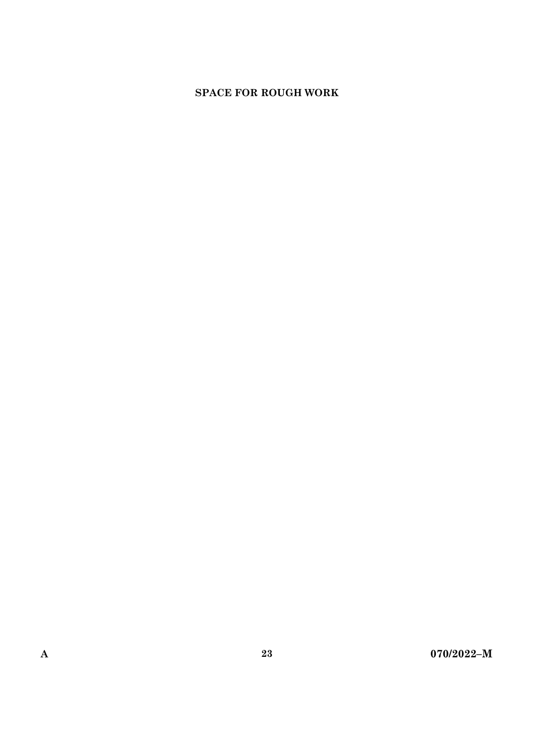# **SPACE FOR ROUGH WORK**